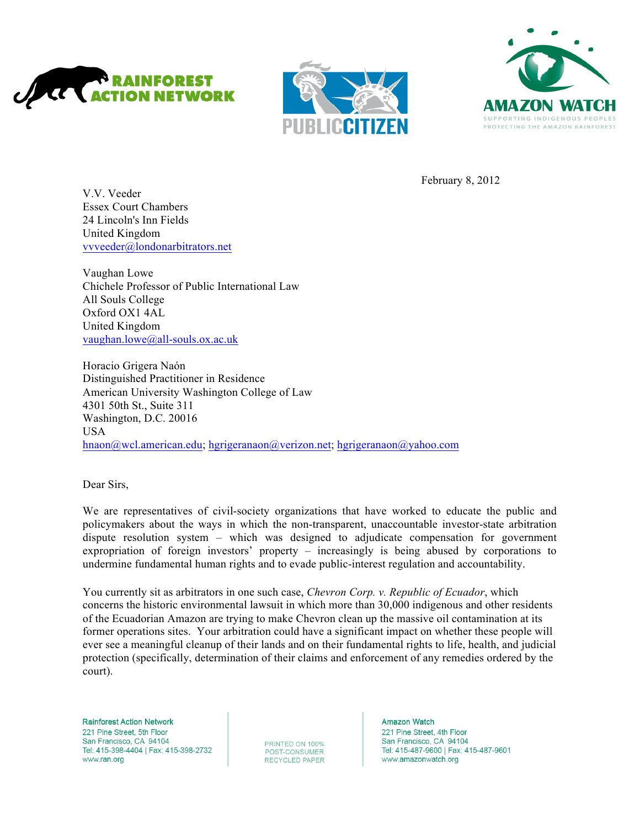





February 8, 2012

V.V. Veeder Essex Court Chambers 24 Lincoln's Inn Fields United Kingdom vvveeder@londonarbitrators.net

Vaughan Lowe Chichele Professor of Public International Law All Souls College Oxford OX1 4AL United Kingdom vaughan.lowe@all-souls.ox.ac.uk

Horacio Grigera Naón Distinguished Practitioner in Residence American University Washington College of Law 4301 50th St., Suite 311 Washington, D.C. 20016 USA hnaon@wcl.american.edu; hgrigeranaon@verizon.net; hgrigeranaon@yahoo.com

Dear Sirs,

We are representatives of civil-society organizations that have worked to educate the public and policymakers about the ways in which the non-transparent, unaccountable investor-state arbitration dispute resolution system – which was designed to adjudicate compensation for government expropriation of foreign investors' property – increasingly is being abused by corporations to undermine fundamental human rights and to evade public-interest regulation and accountability.

You currently sit as arbitrators in one such case, *Chevron Corp. v. Republic of Ecuador*, which concerns the historic environmental lawsuit in which more than 30,000 indigenous and other residents of the Ecuadorian Amazon are trying to make Chevron clean up the massive oil contamination at its former operations sites. Your arbitration could have a significant impact on whether these people will ever see a meaningful cleanup of their lands and on their fundamental rights to life, health, and judicial protection (specifically, determination of their claims and enforcement of any remedies ordered by the court).

**Rainforest Action Network** 221 Pine Street, 5th Floor San Francisco, CA 94104 Tel: 415-398-4404 | Fax: 415-398-2732 www.ran.org

PRINTED ON 100% POST-CONSUMER **RECYCLED PAPER**  **Amazon Watch** 221 Pine Street, 4th Floor San Francisco, CA 94104 Tel: 415-487-9600 | Fax: 415-487-9601 www.amazonwatch.org